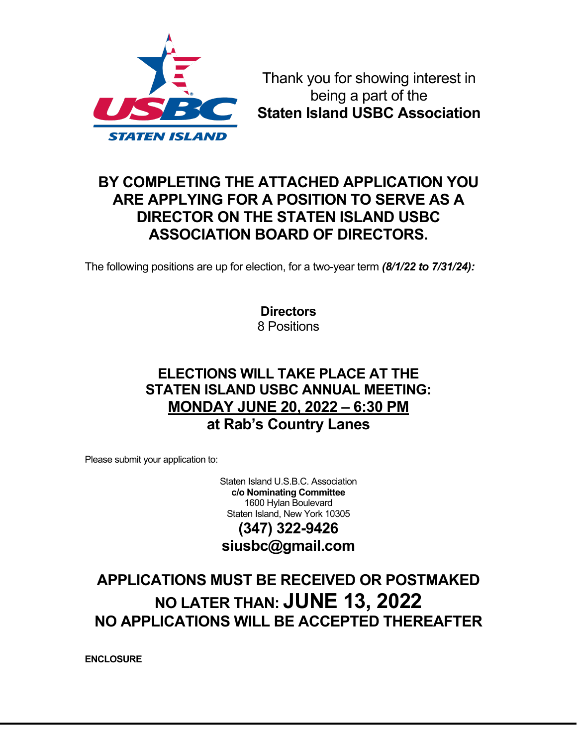

Thank you for showing interest in being a part of the **Staten Island USBC Association**

## **BY COMPLETING THE ATTACHED APPLICATION YOU ARE APPLYING FOR A POSITION TO SERVE AS A DIRECTOR ON THE STATEN ISLAND USBC ASSOCIATION BOARD OF DIRECTORS.**

The following positions are up for election, for a two-year term *(8/1/22 to 7/31/24):*

**Directors** 8 Positions

### **ELECTIONS WILL TAKE PLACE AT THE STATEN ISLAND USBC ANNUAL MEETING: MONDAY JUNE 20, 2022 – 6:30 PM at Rab's Country Lanes**

Please submit your application to:

Staten Island U.S.B.C. Association **c/o Nominating Committee** 1600 Hylan Boulevard Staten Island, New York 10305

## **(347) 322-9426 siusbc@gmail.com**

# **APPLICATIONS MUST BE RECEIVED OR POSTMAKED NO LATER THAN: JUNE 13, 2022 NO APPLICATIONS WILL BE ACCEPTED THEREAFTER**

**ENCLOSURE**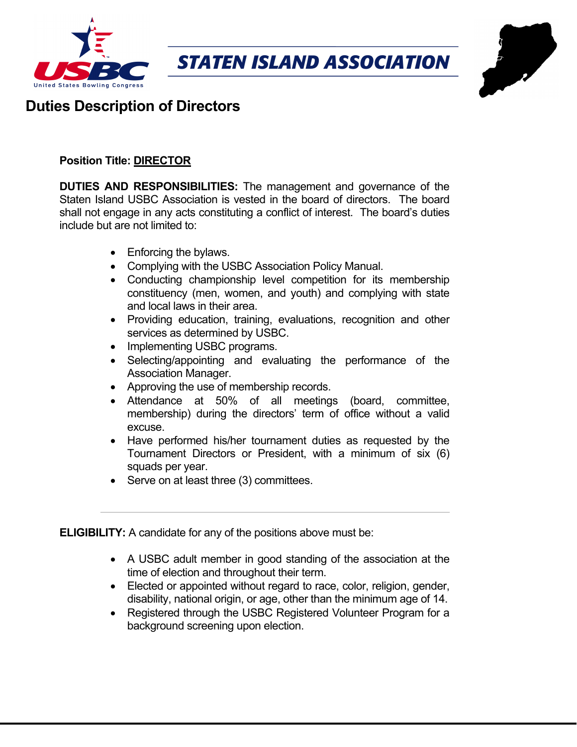



# **Duties Description of Directors**

#### **Position Title: DIRECTOR**

**DUTIES AND RESPONSIBILITIES:** The management and governance of the Staten Island USBC Association is vested in the board of directors. The board shall not engage in any acts constituting a conflict of interest. The board's duties include but are not limited to:

- Enforcing the bylaws.
- Complying with the USBC Association Policy Manual.
- Conducting championship level competition for its membership constituency (men, women, and youth) and complying with state and local laws in their area.
- Providing education, training, evaluations, recognition and other services as determined by USBC.
- Implementing USBC programs.
- Selecting/appointing and evaluating the performance of the Association Manager.
- Approving the use of membership records.
- Attendance at 50% of all meetings (board, committee, membership) during the directors' term of office without a valid excuse.
- Have performed his/her tournament duties as requested by the Tournament Directors or President, with a minimum of six (6) squads per year.
- Serve on at least three (3) committees.

**ELIGIBILITY:** A candidate for any of the positions above must be:

- A USBC adult member in good standing of the association at the time of election and throughout their term.
- Elected or appointed without regard to race, color, religion, gender, disability, national origin, or age, other than the minimum age of 14.
- Registered through the USBC Registered Volunteer Program for a background screening upon election.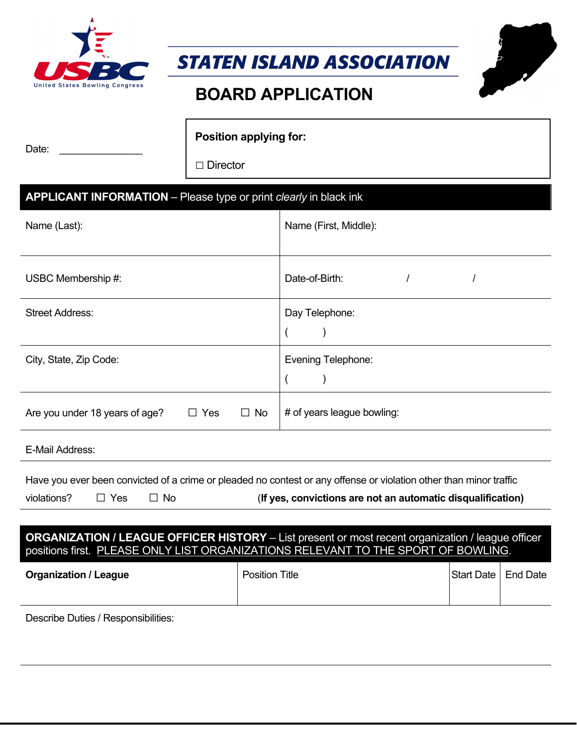

*STATEN ISLAND ASSOCIATION*

# **BOARD APPLICATION**

| Date: | <b>Position applying for:</b> |
|-------|-------------------------------|
|       | $\Box$ Director               |

#### **APPLICANT INFORMATION** – Please type or print *clearly* in black ink

| Name (Last):                                              | Name (First, Middle):      |
|-----------------------------------------------------------|----------------------------|
| USBC Membership #:                                        | Date-of-Birth:             |
| <b>Street Address:</b>                                    | Day Telephone:             |
| City, State, Zip Code:                                    | Evening Telephone:         |
| Are you under 18 years of age?<br>$\Box$ Yes<br>$\Box$ No | # of years league bowling: |

E-Mail Address:

Have you ever been convicted of a crime or pleaded no contest or any offense or violation other than minor traffic

| violations? |
|-------------|
|-------------|

Yes □ No (**If yes, convictions are not an automatic disqualification)** 

#### **ORGANIZATION / LEAGUE OFFICER HISTORY** – List present or most recent organization / league officer positions first. PLEASE ONLY LIST ORGANIZATIONS RELEVANT TO THE SPORT OF BOWLING.

|  | <b>Position Title</b><br><b>Organization / League</b> | Start Date   End Date |  |
|--|-------------------------------------------------------|-----------------------|--|
|--|-------------------------------------------------------|-----------------------|--|

Describe Duties / Responsibilities: